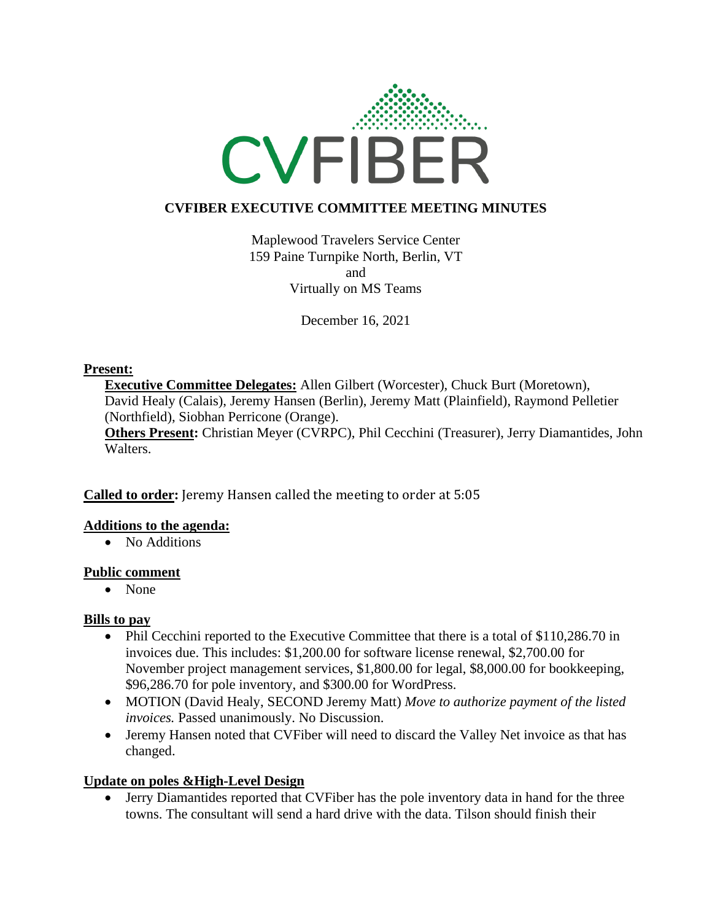

# **CVFIBER EXECUTIVE COMMITTEE MEETING MINUTES**

Maplewood Travelers Service Center 159 Paine Turnpike North, Berlin, VT and Virtually on MS Teams

December 16, 2021

#### **Present:**

**Executive Committee Delegates:** Allen Gilbert (Worcester), Chuck Burt (Moretown), David Healy (Calais), Jeremy Hansen (Berlin), Jeremy Matt (Plainfield), Raymond Pelletier (Northfield), Siobhan Perricone (Orange).

**Others Present:** Christian Meyer (CVRPC), Phil Cecchini (Treasurer), Jerry Diamantides, John Walters.

**Called to order:** Jeremy Hansen called the meeting to order at 5:05

## **Additions to the agenda:**

• No Additions

## **Public comment**

• None

## **Bills to pay**

- Phil Cecchini reported to the Executive Committee that there is a total of \$110,286.70 in invoices due. This includes: \$1,200.00 for software license renewal, \$2,700.00 for November project management services, \$1,800.00 for legal, \$8,000.00 for bookkeeping, \$96,286.70 for pole inventory, and \$300.00 for WordPress.
- MOTION (David Healy, SECOND Jeremy Matt) *Move to authorize payment of the listed invoices.* Passed unanimously. No Discussion.
- Jeremy Hansen noted that CVFiber will need to discard the Valley Net invoice as that has changed.

## **Update on poles &High-Level Design**

• Jerry Diamantides reported that CVFiber has the pole inventory data in hand for the three towns. The consultant will send a hard drive with the data. Tilson should finish their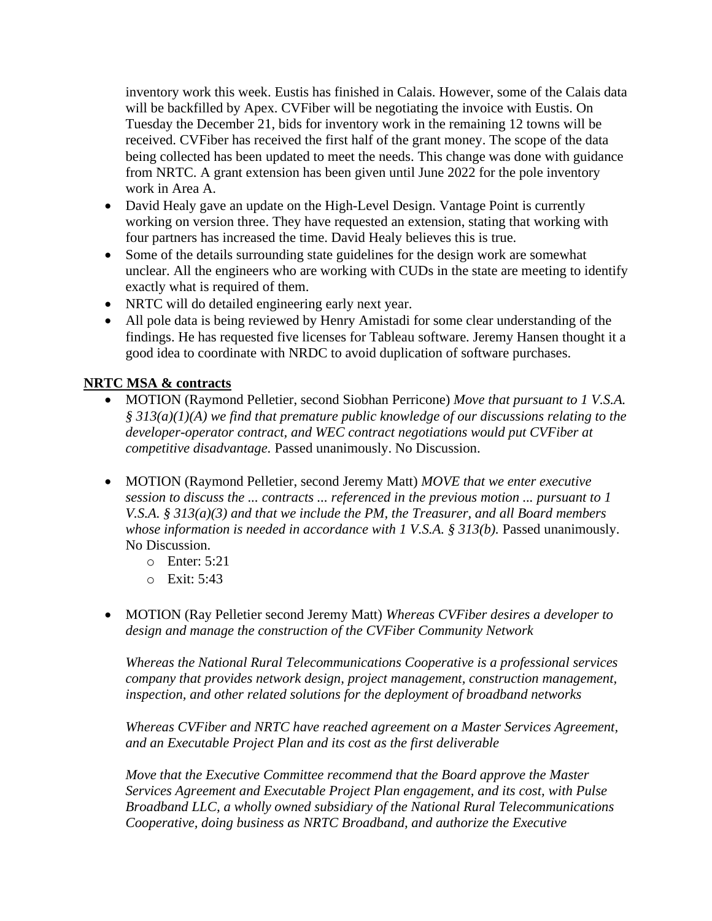inventory work this week. Eustis has finished in Calais. However, some of the Calais data will be backfilled by Apex. CVFiber will be negotiating the invoice with Eustis. On Tuesday the December 21, bids for inventory work in the remaining 12 towns will be received. CVFiber has received the first half of the grant money. The scope of the data being collected has been updated to meet the needs. This change was done with guidance from NRTC. A grant extension has been given until June 2022 for the pole inventory work in Area A.

- David Healy gave an update on the High-Level Design. Vantage Point is currently working on version three. They have requested an extension, stating that working with four partners has increased the time. David Healy believes this is true.
- Some of the details surrounding state guidelines for the design work are somewhat unclear. All the engineers who are working with CUDs in the state are meeting to identify exactly what is required of them.
- NRTC will do detailed engineering early next year.
- All pole data is being reviewed by Henry Amistadi for some clear understanding of the findings. He has requested five licenses for Tableau software. Jeremy Hansen thought it a good idea to coordinate with NRDC to avoid duplication of software purchases.

# **NRTC MSA & contracts**

- MOTION (Raymond Pelletier, second Siobhan Perricone) *Move that pursuant to 1 V.S.A. § 313(a)(1)(A) we find that premature public knowledge of our discussions relating to the developer-operator contract, and WEC contract negotiations would put CVFiber at competitive disadvantage.* Passed unanimously. No Discussion.
- MOTION (Raymond Pelletier, second Jeremy Matt) *MOVE that we enter executive session to discuss the ... contracts ... referenced in the previous motion ... pursuant to 1 V.S.A. § 313(a)(3) and that we include the PM, the Treasurer, and all Board members whose information is needed in accordance with 1 V.S.A. § 313(b).* Passed unanimously. No Discussion.
	- o Enter: 5:21
	- o Exit: 5:43
- MOTION (Ray Pelletier second Jeremy Matt) *Whereas CVFiber desires a developer to design and manage the construction of the CVFiber Community Network*

*Whereas the National Rural Telecommunications Cooperative is a professional services company that provides network design, project management, construction management, inspection, and other related solutions for the deployment of broadband networks*

*Whereas CVFiber and NRTC have reached agreement on a Master Services Agreement, and an Executable Project Plan and its cost as the first deliverable*

*Move that the Executive Committee recommend that the Board approve the Master Services Agreement and Executable Project Plan engagement, and its cost, with Pulse Broadband LLC, a wholly owned subsidiary of the National Rural Telecommunications Cooperative, doing business as NRTC Broadband, and authorize the Executive*